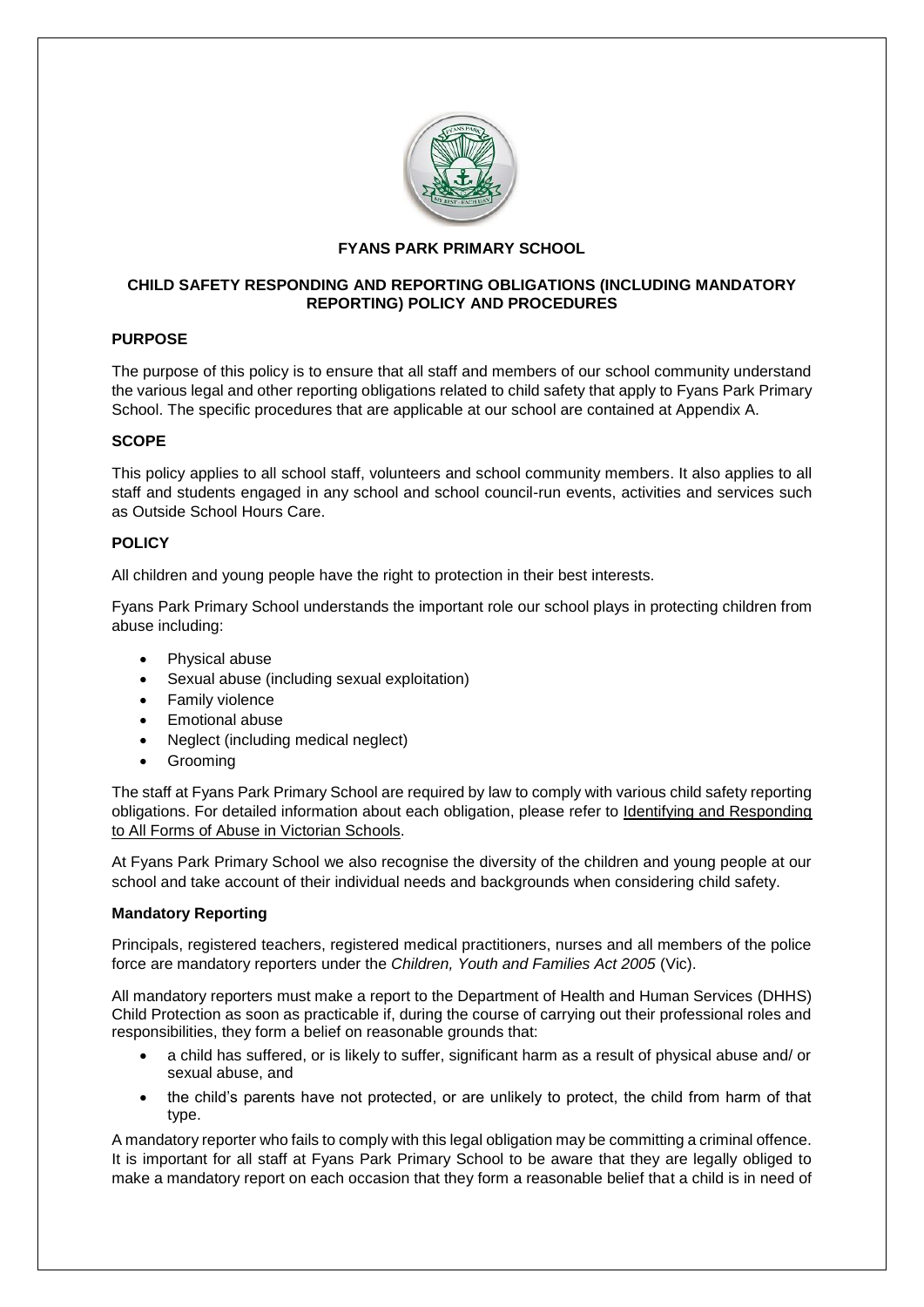

## **FYANS PARK PRIMARY SCHOOL**

## **CHILD SAFETY RESPONDING AND REPORTING OBLIGATIONS (INCLUDING MANDATORY REPORTING) POLICY AND PROCEDURES**

# **PURPOSE**

The purpose of this policy is to ensure that all staff and members of our school community understand the various legal and other reporting obligations related to child safety that apply to Fyans Park Primary School. The specific procedures that are applicable at our school are contained at Appendix A.

## **SCOPE**

This policy applies to all school staff, volunteers and school community members. It also applies to all staff and students engaged in any school and school council-run events, activities and services such as Outside School Hours Care.

## **POLICY**

All children and young people have the right to protection in their best interests.

Fyans Park Primary School understands the important role our school plays in protecting children from abuse including:

- Physical abuse
- Sexual abuse (including sexual exploitation)
- Family violence
- Emotional abuse
- Neglect (including medical neglect)
- Grooming

The staff at Fyans Park Primary School are required by law to comply with various child safety reporting obligations. For detailed information about each obligation, please refer to [Identifying and Responding](https://www.education.vic.gov.au/Documents/about/programs/health/protect/ChildSafeStandard5_SchoolsGuide.pdf)  [to All Forms of Abuse in Victorian Schools.](https://www.education.vic.gov.au/Documents/about/programs/health/protect/ChildSafeStandard5_SchoolsGuide.pdf)

At Fyans Park Primary School we also recognise the diversity of the children and young people at our school and take account of their individual needs and backgrounds when considering child safety.

## **Mandatory Reporting**

Principals, registered teachers, registered medical practitioners, nurses and all members of the police force are mandatory reporters under the *Children, Youth and Families Act 2005* (Vic).

All mandatory reporters must make a report to the Department of Health and Human Services (DHHS) Child Protection as soon as practicable if, during the course of carrying out their professional roles and responsibilities, they form a belief on reasonable grounds that:

- a child has suffered, or is likely to suffer, significant harm as a result of physical abuse and/ or sexual abuse, and
- the child's parents have not protected, or are unlikely to protect, the child from harm of that type.

A mandatory reporter who fails to comply with this legal obligation may be committing a criminal offence. It is important for all staff at Fyans Park Primary School to be aware that they are legally obliged to make a mandatory report on each occasion that they form a reasonable belief that a child is in need of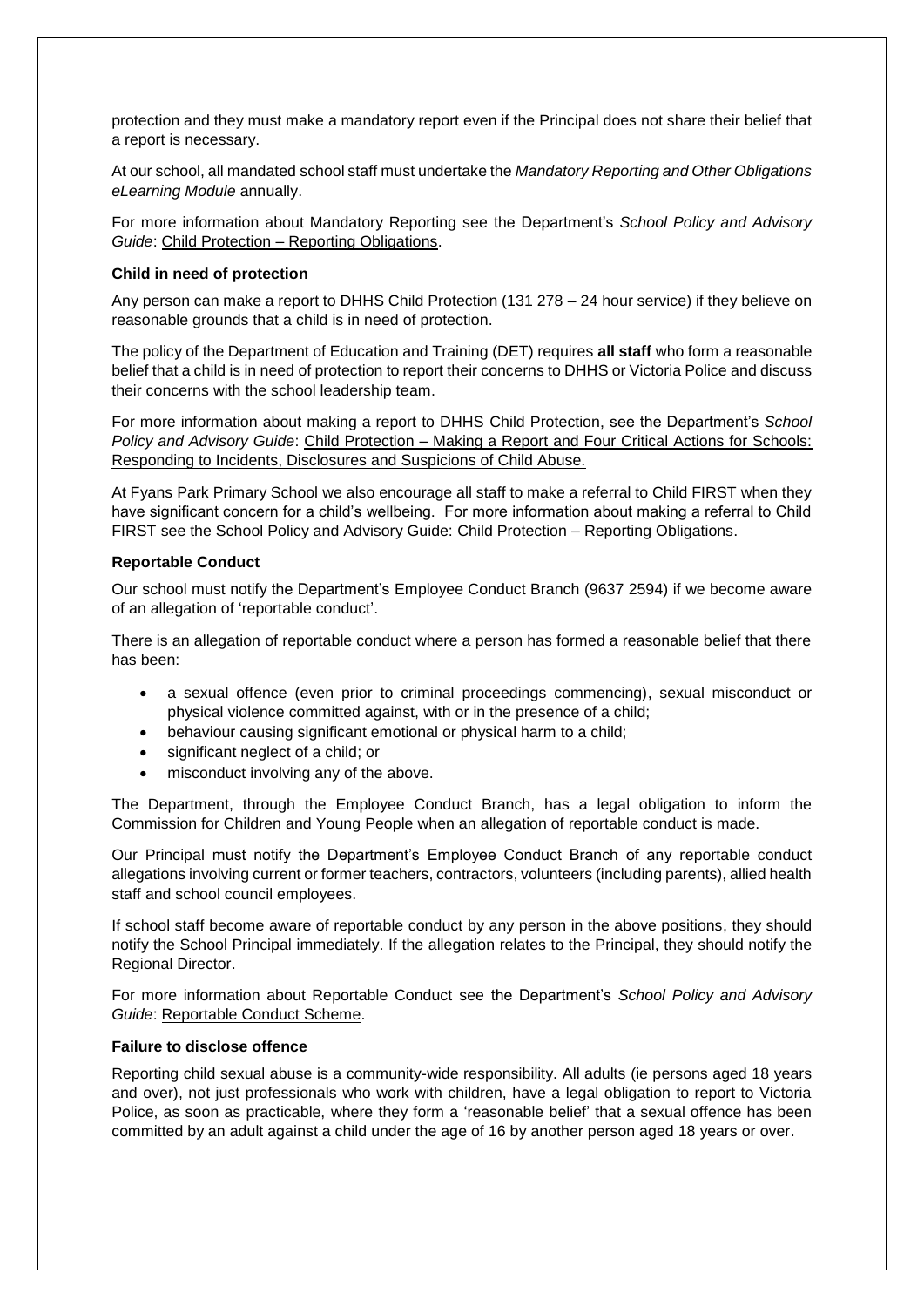protection and they must make a mandatory report even if the Principal does not share their belief that a report is necessary.

At our school, all mandated school staff must undertake the *Mandatory Reporting and Other Obligations eLearning Module* annually.

For more information about Mandatory Reporting see the Department's *School Policy and Advisory Guide*: Child Protection – [Reporting Obligations.](http://www.education.vic.gov.au/school/principals/spag/safety/Pages/childprotectobligation.aspx)

#### **Child in need of protection**

Any person can make a report to DHHS Child Protection (131 278 – 24 hour service) if they believe on reasonable grounds that a child is in need of protection.

The policy of the Department of Education and Training (DET) requires **all staff** who form a reasonable belief that a child is in need of protection to report their concerns to DHHS or Victoria Police and discuss their concerns with the school leadership team.

For more information about making a report to DHHS Child Protection, see the Department's *School Policy and Advisory Guide*: Child Protection – [Making a Report](http://www.education.vic.gov.au/school/principals/spag/safety/Pages/childprotectreporting.aspx) and [Four Critical Actions for Schools:](https://www.education.vic.gov.au/Documents/about/programs/health/protect/FourCriticalActions_ChildAbuse.pdf)  [Responding to Incidents, Disclosures and Suspicions of Child Abuse.](https://www.education.vic.gov.au/Documents/about/programs/health/protect/FourCriticalActions_ChildAbuse.pdf)

At Fyans Park Primary School we also encourage all staff to make a referral to Child FIRST when they have significant concern for a child's wellbeing. For more information about making a referral to Child FIRST see the School Policy and Advisory Guide: Child Protection – [Reporting Obligations.](https://www.education.vic.gov.au/school/principals/spag/safety/Pages/childprotectobligation.aspx)

## **Reportable Conduct**

Our school must notify the Department's Employee Conduct Branch (9637 2594) if we become aware of an allegation of 'reportable conduct'.

There is an allegation of reportable conduct where a person has formed a reasonable belief that there has been:

- a sexual offence (even prior to criminal proceedings commencing), sexual misconduct or physical violence committed against, with or in the presence of a child;
- behaviour causing significant emotional or physical harm to a child;
- significant neglect of a child; or
- misconduct involving any of the above.

The Department, through the Employee Conduct Branch, has a legal obligation to inform the Commission for Children and Young People when an allegation of reportable conduct is made.

Our Principal must notify the Department's Employee Conduct Branch of any reportable conduct allegations involving current or former teachers, contractors, volunteers (including parents), allied health staff and school council employees.

If school staff become aware of reportable conduct by any person in the above positions, they should notify the School Principal immediately. If the allegation relates to the Principal, they should notify the Regional Director.

For more information about Reportable Conduct see the Department's *School Policy and Advisory Guide*: [Reportable Conduct Scheme.](http://www.education.vic.gov.au/school/principals/spag/safety/Pages/reportableconductscheme.aspx)

## **Failure to disclose offence**

Reporting child sexual abuse is a community-wide responsibility. All adults (ie persons aged 18 years and over), not just professionals who work with children, have a legal obligation to report to Victoria Police, as soon as practicable, where they form a 'reasonable belief' that a sexual offence has been committed by an adult against a child under the age of 16 by another person aged 18 years or over.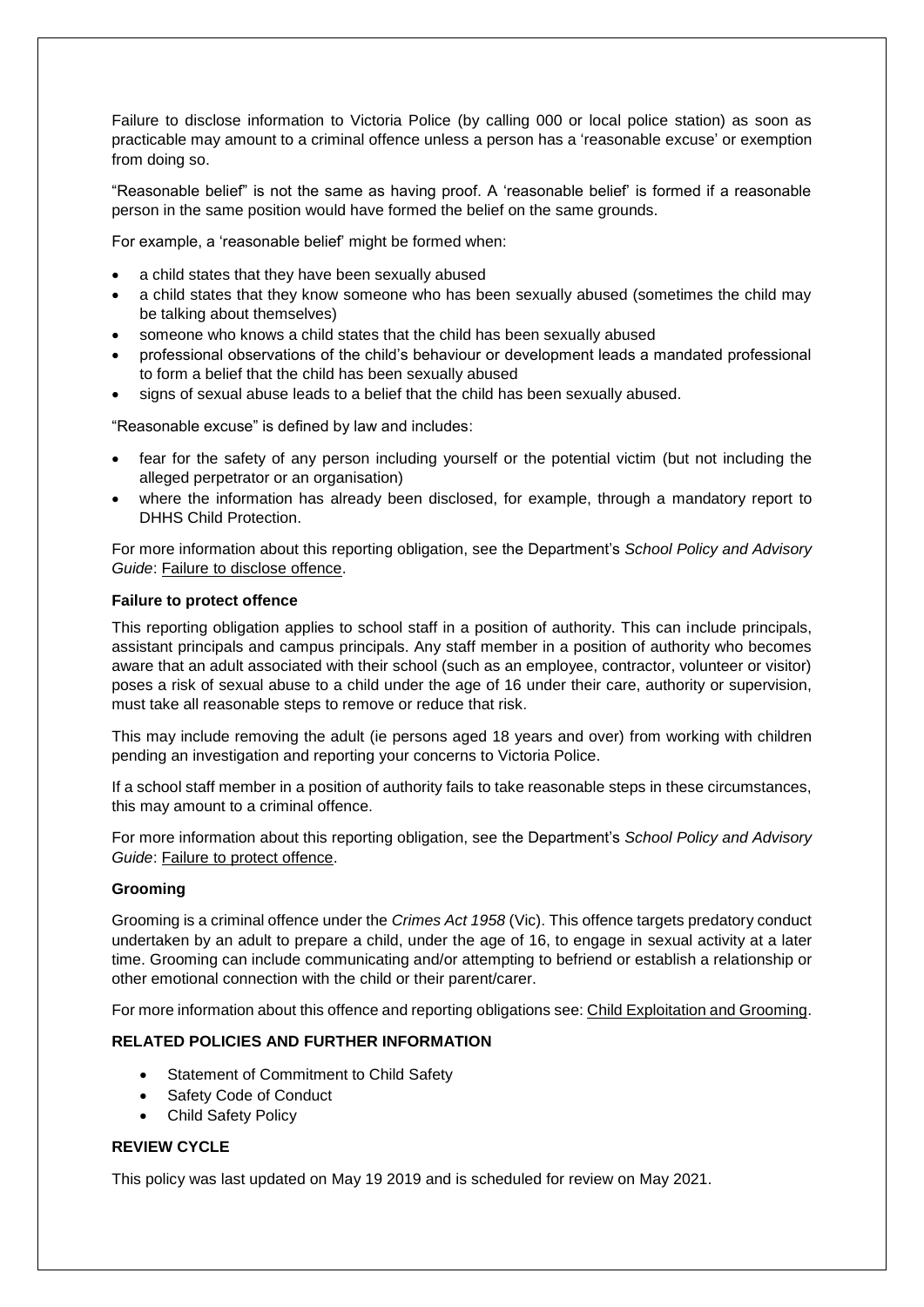Failure to disclose information to Victoria Police (by calling 000 or local police station) as soon as practicable may amount to a criminal offence unless a person has a 'reasonable excuse' or exemption from doing so.

"Reasonable belief" is not the same as having proof. A 'reasonable belief' is formed if a reasonable person in the same position would have formed the belief on the same grounds.

For example, a 'reasonable belief' might be formed when:

- a child states that they have been sexually abused
- a child states that they know someone who has been sexually abused (sometimes the child may be talking about themselves)
- someone who knows a child states that the child has been sexually abused
- professional observations of the child's behaviour or development leads a mandated professional to form a belief that the child has been sexually abused
- signs of sexual abuse leads to a belief that the child has been sexually abused.

"Reasonable excuse" is defined by law and includes:

- fear for the safety of any person including yourself or the potential victim (but not including the alleged perpetrator or an organisation)
- where the information has already been disclosed, for example, through a mandatory report to DHHS Child Protection.

For more information about this reporting obligation, see the Department's *School Policy and Advisory Guide*: [Failure to disclose offence.](http://www.education.vic.gov.au/school/principals/spag/safety/Pages/childprotectobligation.aspx)

## **Failure to protect offence**

This reporting obligation applies to school staff in a position of authority. This can include principals, assistant principals and campus principals. Any staff member in a position of authority who becomes aware that an adult associated with their school (such as an employee, contractor, volunteer or visitor) poses a risk of sexual abuse to a child under the age of 16 under their care, authority or supervision, must take all reasonable steps to remove or reduce that risk.

This may include removing the adult (ie persons aged 18 years and over) from working with children pending an investigation and reporting your concerns to Victoria Police.

If a school staff member in a position of authority fails to take reasonable steps in these circumstances, this may amount to a criminal offence.

For more information about this reporting obligation, see the Department's *School Policy and Advisory Guide*: [Failure to protect offence.](http://www.education.vic.gov.au/school/principals/spag/safety/Pages/childprotectobligation.aspx)

#### **Grooming**

Grooming is a criminal offence under the *Crimes Act 1958* (Vic). This offence targets predatory conduct undertaken by an adult to prepare a child, under the age of 16, to engage in sexual activity at a later time. Grooming can include communicating and/or attempting to befriend or establish a relationship or other emotional connection with the child or their parent/carer.

For more information about this offence and reporting obligations see[: Child Exploitation and Grooming.](https://www.education.vic.gov.au/school/teachers/health/childprotection/Pages/expolitationgrooming.aspx)

## **RELATED POLICIES AND FURTHER INFORMATION**

- Statement of Commitment to Child Safety
- Safety Code of Conduct
- Child Safety Policy

## **REVIEW CYCLE**

This policy was last updated on May 19 2019 and is scheduled for review on May 2021.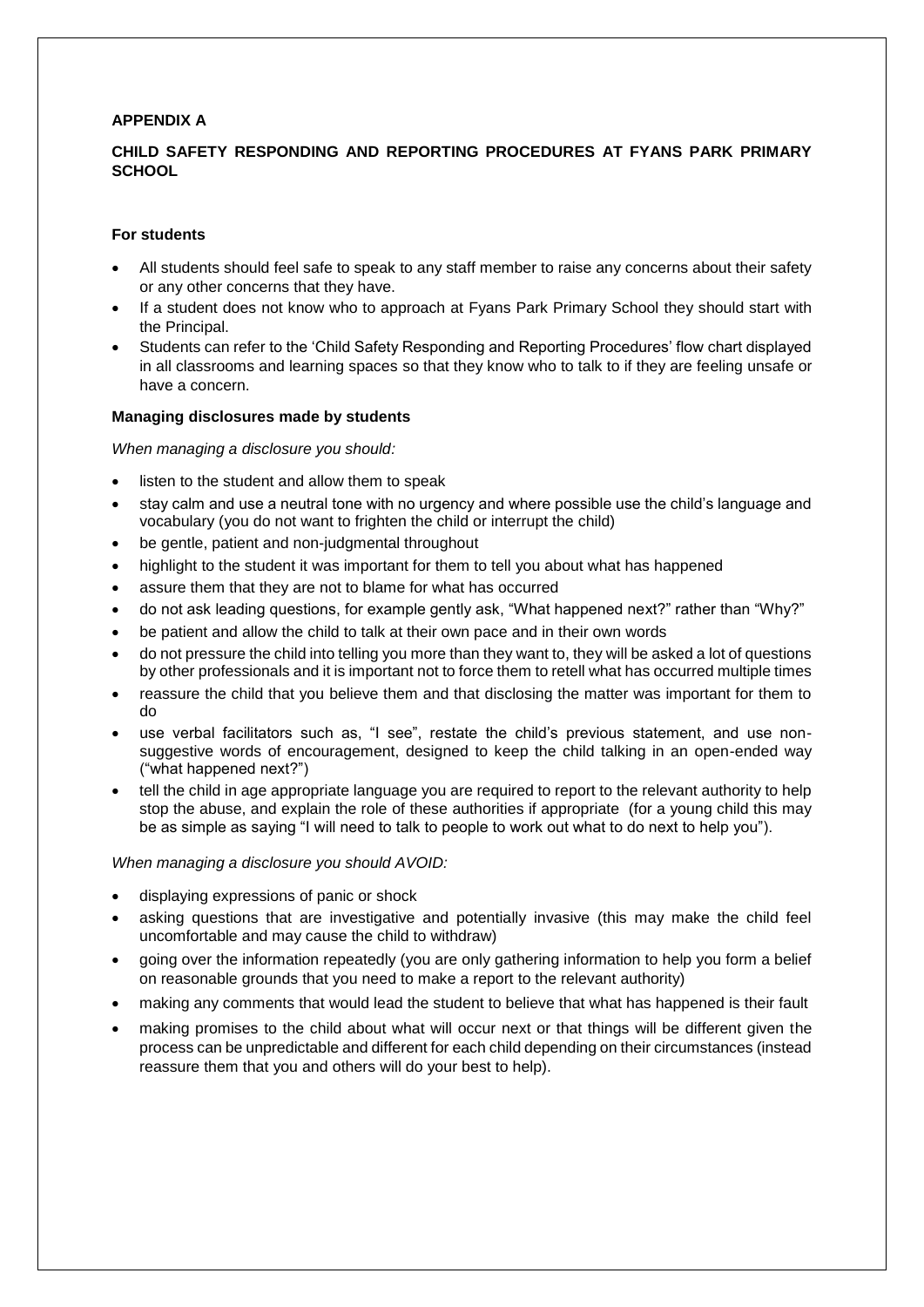## **APPENDIX A**

## **CHILD SAFETY RESPONDING AND REPORTING PROCEDURES AT FYANS PARK PRIMARY SCHOOL**

#### **For students**

- All students should feel safe to speak to any staff member to raise any concerns about their safety or any other concerns that they have.
- If a student does not know who to approach at Fyans Park Primary School they should start with the Principal.
- Students can refer to the 'Child Safety Responding and Reporting Procedures' flow chart displayed in all classrooms and learning spaces so that they know who to talk to if they are feeling unsafe or have a concern.

#### **Managing disclosures made by students**

#### *When managing a disclosure you should:*

- listen to the student and allow them to speak
- stay calm and use a neutral tone with no urgency and where possible use the child's language and vocabulary (you do not want to frighten the child or interrupt the child)
- be gentle, patient and non-judgmental throughout
- highlight to the student it was important for them to tell you about what has happened
- assure them that they are not to blame for what has occurred
- do not ask leading questions, for example gently ask, "What happened next?" rather than "Why?"
- be patient and allow the child to talk at their own pace and in their own words
- do not pressure the child into telling you more than they want to, they will be asked a lot of questions by other professionals and it is important not to force them to retell what has occurred multiple times
- reassure the child that you believe them and that disclosing the matter was important for them to do
- use verbal facilitators such as, "I see", restate the child's previous statement, and use nonsuggestive words of encouragement, designed to keep the child talking in an open-ended way ("what happened next?")
- tell the child in age appropriate language you are required to report to the relevant authority to help stop the abuse, and explain the role of these authorities if appropriate (for a young child this may be as simple as saying "I will need to talk to people to work out what to do next to help you").

#### *When managing a disclosure you should AVOID:*

- displaying expressions of panic or shock
- asking questions that are investigative and potentially invasive (this may make the child feel uncomfortable and may cause the child to withdraw)
- going over the information repeatedly (you are only gathering information to help you form a belief on reasonable grounds that you need to make a report to the relevant authority)
- making any comments that would lead the student to believe that what has happened is their fault
- making promises to the child about what will occur next or that things will be different given the process can be unpredictable and different for each child depending on their circumstances (instead reassure them that you and others will do your best to help).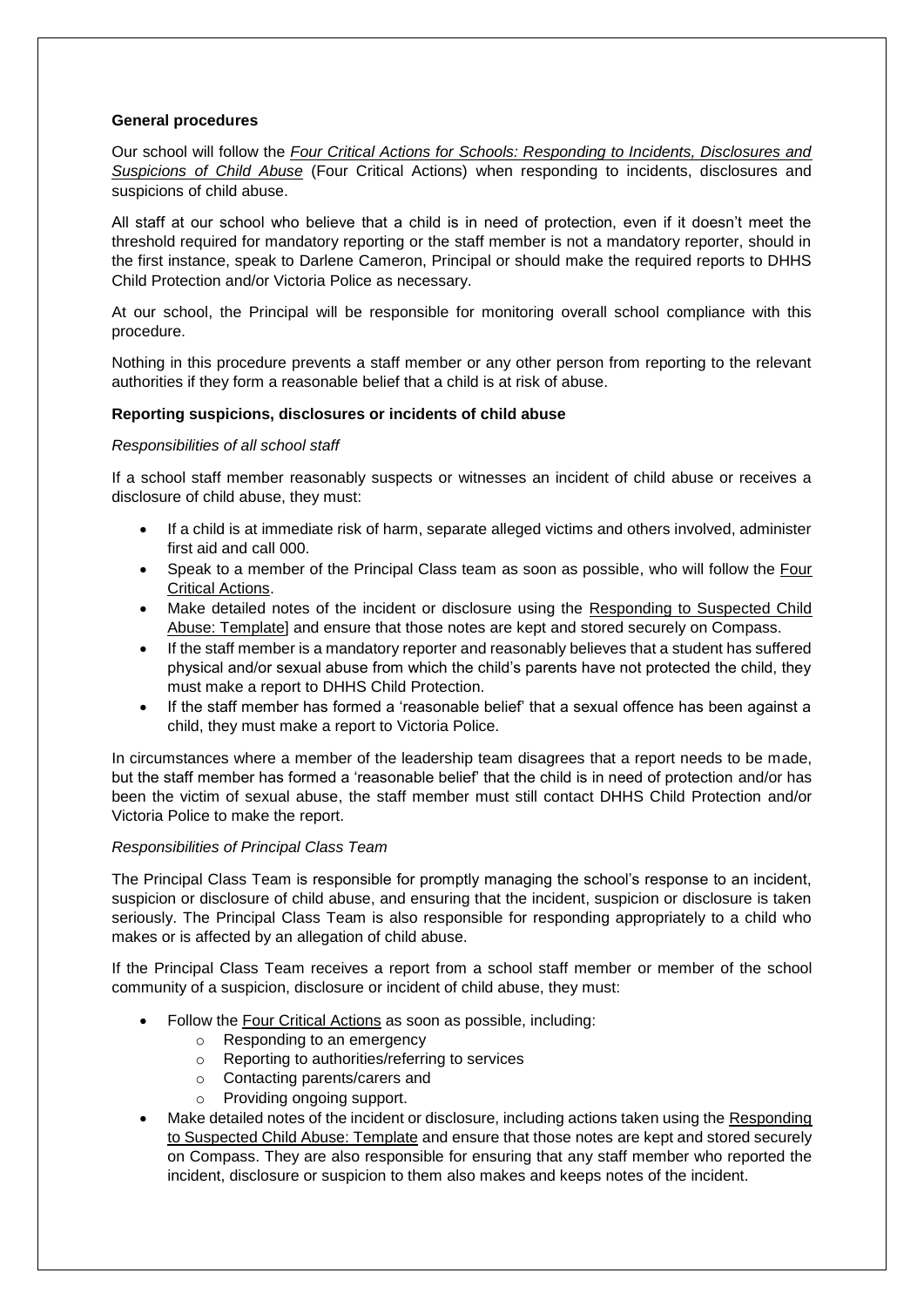## **General procedures**

Our school will follow the *[Four Critical Actions for Schools: Responding to Incidents, Disclosures and](https://www.education.vic.gov.au/Documents/about/programs/health/protect/FourCriticalActions_ChildAbuse.pdf)  [Suspicions of Child Abuse](https://www.education.vic.gov.au/Documents/about/programs/health/protect/FourCriticalActions_ChildAbuse.pdf)* (Four Critical Actions) when responding to incidents, disclosures and suspicions of child abuse.

All staff at our school who believe that a child is in need of protection, even if it doesn't meet the threshold required for mandatory reporting or the staff member is not a mandatory reporter, should in the first instance, speak to Darlene Cameron, Principal or should make the required reports to DHHS Child Protection and/or Victoria Police as necessary.

At our school, the Principal will be responsible for monitoring overall school compliance with this procedure.

Nothing in this procedure prevents a staff member or any other person from reporting to the relevant authorities if they form a reasonable belief that a child is at risk of abuse.

## **Reporting suspicions, disclosures or incidents of child abuse**

#### *Responsibilities of all school staff*

If a school staff member reasonably suspects or witnesses an incident of child abuse or receives a disclosure of child abuse, they must:

- If a child is at immediate risk of harm, separate alleged victims and others involved, administer first aid and call 000.
- Speak to a member of the Principal Class team as soon as possible, who will follow the [Four](https://www.education.vic.gov.au/Documents/about/programs/health/protect/FourCriticalActions_ChildAbuse.pdf)  [Critical Actions.](https://www.education.vic.gov.au/Documents/about/programs/health/protect/FourCriticalActions_ChildAbuse.pdf)
- Make detailed notes of the incident or disclosure using the [Responding to Suspected Child](https://www.education.vic.gov.au/Documents/about/programs/health/protect/PROTECT_Schoolstemplate.pdf)  [Abuse: Template\]](https://www.education.vic.gov.au/Documents/about/programs/health/protect/PROTECT_Schoolstemplate.pdf) and ensure that those notes are kept and stored securely on Compass.
- If the staff member is a mandatory reporter and reasonably believes that a student has suffered physical and/or sexual abuse from which the child's parents have not protected the child, they must make a report to DHHS Child Protection.
- If the staff member has formed a 'reasonable belief' that a sexual offence has been against a child, they must make a report to Victoria Police.

In circumstances where a member of the leadership team disagrees that a report needs to be made, but the staff member has formed a 'reasonable belief' that the child is in need of protection and/or has been the victim of sexual abuse, the staff member must still contact DHHS Child Protection and/or Victoria Police to make the report.

#### *Responsibilities of Principal Class Team*

The Principal Class Team is responsible for promptly managing the school's response to an incident, suspicion or disclosure of child abuse, and ensuring that the incident, suspicion or disclosure is taken seriously. The Principal Class Team is also responsible for responding appropriately to a child who makes or is affected by an allegation of child abuse.

If the Principal Class Team receives a report from a school staff member or member of the school community of a suspicion, disclosure or incident of child abuse, they must:

- Follow the [Four Critical Actions](https://www.education.vic.gov.au/Documents/about/programs/health/protect/FourCriticalActions_ChildAbuse.pdf) as soon as possible, including:
	- o Responding to an emergency
	- o Reporting to authorities/referring to services
	- o Contacting parents/carers and
	- o Providing ongoing support.
- Make detailed notes of the incident or disclosure, including actions taken using the [Responding](https://www.education.vic.gov.au/Documents/about/programs/health/protect/PROTECT_Schoolstemplate.pdf)  [to Suspected Child Abuse: Template](https://www.education.vic.gov.au/Documents/about/programs/health/protect/PROTECT_Schoolstemplate.pdf) and ensure that those notes are kept and stored securely on Compass. They are also responsible for ensuring that any staff member who reported the incident, disclosure or suspicion to them also makes and keeps notes of the incident.